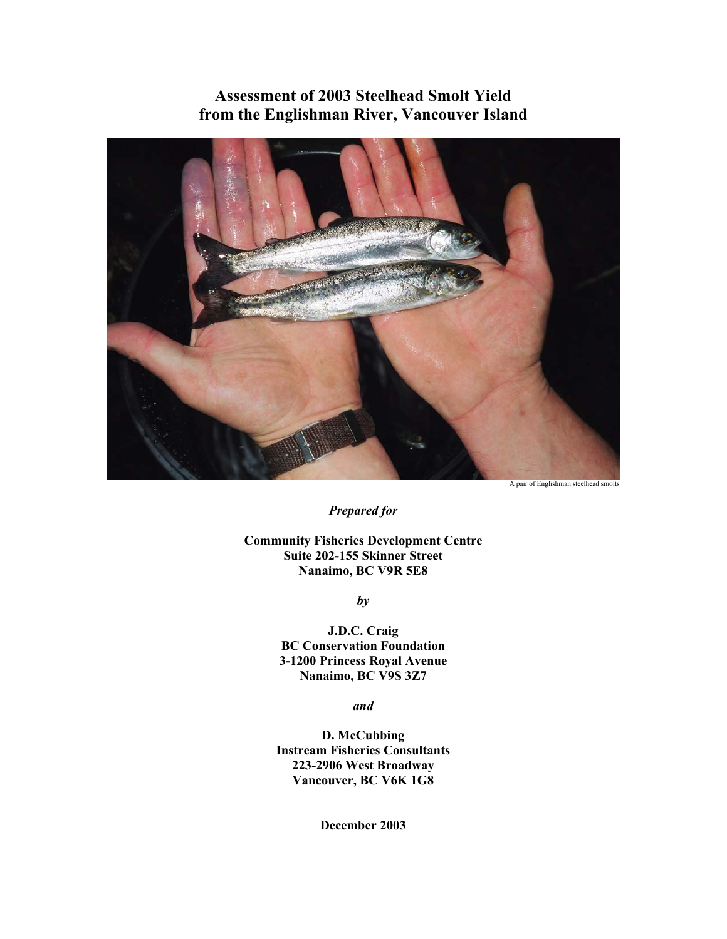**Assessment of 2003 Steelhead Smolt Yield from the Englishman River, Vancouver Island** 



A pair of Englishman steelhead smolts

*Prepared for* 

**Community Fisheries Development Centre Suite 202-155 Skinner Street Nanaimo, BC V9R 5E8** 

*by* 

**J.D.C. Craig BC Conservation Foundation 3-1200 Princess Royal Avenue Nanaimo, BC V9S 3Z7** 

*and* 

**D. McCubbing Instream Fisheries Consultants 223-2906 West Broadway Vancouver, BC V6K 1G8** 

**December 2003**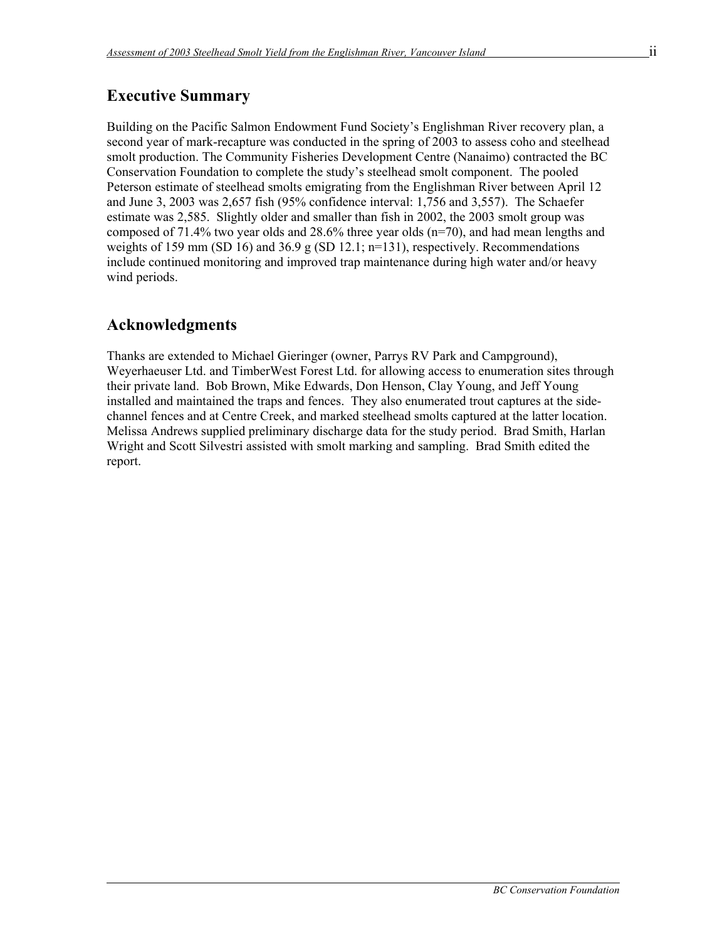# **Executive Summary**

Building on the Pacific Salmon Endowment Fund Society's Englishman River recovery plan, a second year of mark-recapture was conducted in the spring of 2003 to assess coho and steelhead smolt production. The Community Fisheries Development Centre (Nanaimo) contracted the BC Conservation Foundation to complete the study's steelhead smolt component. The pooled Peterson estimate of steelhead smolts emigrating from the Englishman River between April 12 and June 3, 2003 was 2,657 fish (95% confidence interval: 1,756 and 3,557). The Schaefer estimate was 2,585. Slightly older and smaller than fish in 2002, the 2003 smolt group was composed of 71.4% two year olds and 28.6% three year olds (n=70), and had mean lengths and weights of 159 mm (SD 16) and  $36.9 \text{ g}$  (SD 12.1; n=131), respectively. Recommendations include continued monitoring and improved trap maintenance during high water and/or heavy wind periods.

# **Acknowledgments**

 $\overline{a}$ 

Thanks are extended to Michael Gieringer (owner, Parrys RV Park and Campground), Weyerhaeuser Ltd. and TimberWest Forest Ltd. for allowing access to enumeration sites through their private land. Bob Brown, Mike Edwards, Don Henson, Clay Young, and Jeff Young installed and maintained the traps and fences. They also enumerated trout captures at the sidechannel fences and at Centre Creek, and marked steelhead smolts captured at the latter location. Melissa Andrews supplied preliminary discharge data for the study period. Brad Smith, Harlan Wright and Scott Silvestri assisted with smolt marking and sampling. Brad Smith edited the report.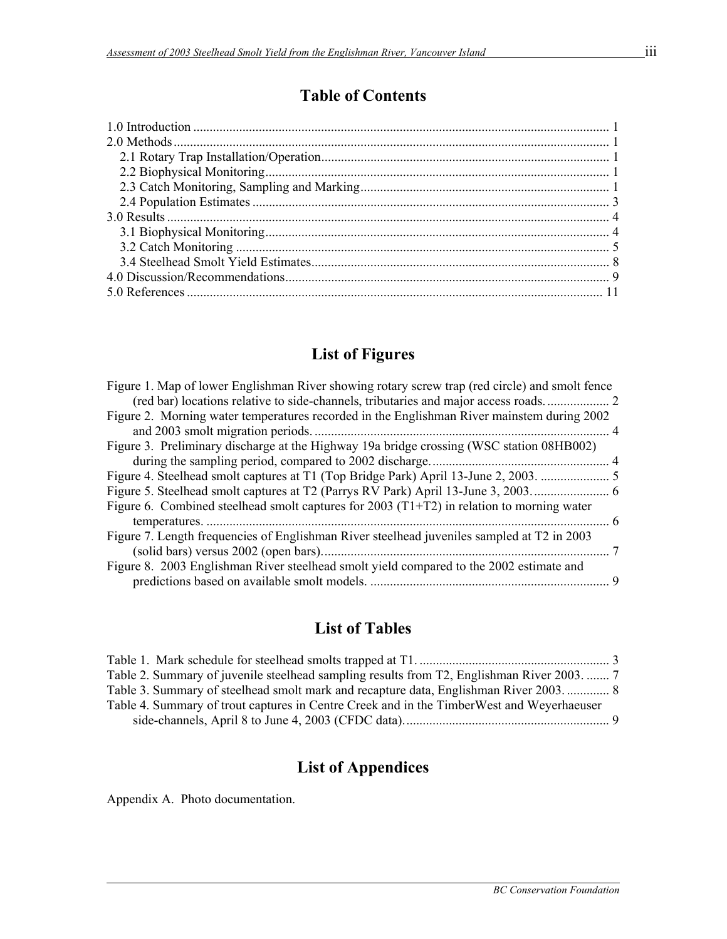# **Table of Contents**

# **List of Figures**

| Figure 1. Map of lower Englishman River showing rotary screw trap (red circle) and smolt fence |   |
|------------------------------------------------------------------------------------------------|---|
|                                                                                                |   |
| Figure 2. Morning water temperatures recorded in the Englishman River mainstem during 2002     |   |
|                                                                                                |   |
| Figure 3. Preliminary discharge at the Highway 19a bridge crossing (WSC station 08HB002)       |   |
|                                                                                                |   |
|                                                                                                |   |
|                                                                                                |   |
| Figure 6. Combined steelhead smolt captures for 2003 $(T1+T2)$ in relation to morning water    |   |
|                                                                                                |   |
| Figure 7. Length frequencies of Englishman River steelhead juveniles sampled at T2 in 2003     |   |
|                                                                                                |   |
| Figure 8. 2003 Englishman River steelhead smolt yield compared to the 2002 estimate and        |   |
|                                                                                                | 9 |

# **List of Tables**

| Table 2. Summary of juvenile steelhead sampling results from T2, Englishman River 2003 7  |  |
|-------------------------------------------------------------------------------------------|--|
| Table 3. Summary of steelhead smolt mark and recapture data, Englishman River 2003 8      |  |
| Table 4. Summary of trout captures in Centre Creek and in the TimberWest and Weyerhaeuser |  |
|                                                                                           |  |
|                                                                                           |  |

# **List of Appendices**

Appendix A. Photo documentation.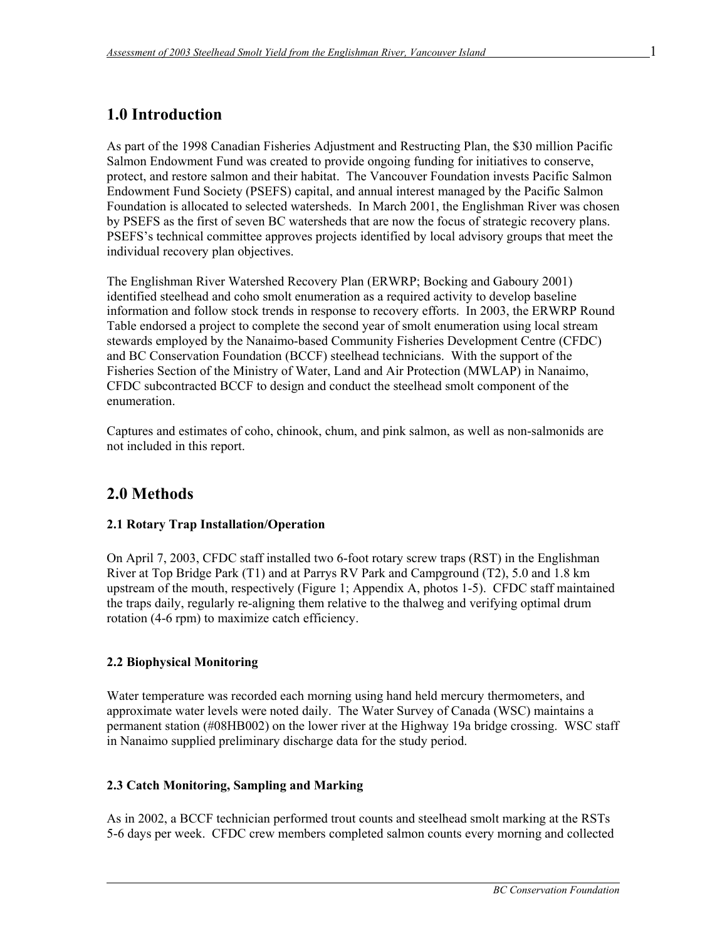# **1.0 Introduction**

As part of the 1998 Canadian Fisheries Adjustment and Restructing Plan, the \$30 million Pacific Salmon Endowment Fund was created to provide ongoing funding for initiatives to conserve, protect, and restore salmon and their habitat. The Vancouver Foundation invests Pacific Salmon Endowment Fund Society (PSEFS) capital, and annual interest managed by the Pacific Salmon Foundation is allocated to selected watersheds. In March 2001, the Englishman River was chosen by PSEFS as the first of seven BC watersheds that are now the focus of strategic recovery plans. PSEFS's technical committee approves projects identified by local advisory groups that meet the individual recovery plan objectives.

The Englishman River Watershed Recovery Plan (ERWRP; Bocking and Gaboury 2001) identified steelhead and coho smolt enumeration as a required activity to develop baseline information and follow stock trends in response to recovery efforts. In 2003, the ERWRP Round Table endorsed a project to complete the second year of smolt enumeration using local stream stewards employed by the Nanaimo-based Community Fisheries Development Centre (CFDC) and BC Conservation Foundation (BCCF) steelhead technicians. With the support of the Fisheries Section of the Ministry of Water, Land and Air Protection (MWLAP) in Nanaimo, CFDC subcontracted BCCF to design and conduct the steelhead smolt component of the enumeration.

Captures and estimates of coho, chinook, chum, and pink salmon, as well as non-salmonids are not included in this report.

# **2.0 Methods**

### **2.1 Rotary Trap Installation/Operation**

On April 7, 2003, CFDC staff installed two 6-foot rotary screw traps (RST) in the Englishman River at Top Bridge Park (T1) and at Parrys RV Park and Campground (T2), 5.0 and 1.8 km upstream of the mouth, respectively (Figure 1; Appendix A, photos 1-5). CFDC staff maintained the traps daily, regularly re-aligning them relative to the thalweg and verifying optimal drum rotation (4-6 rpm) to maximize catch efficiency.

### **2.2 Biophysical Monitoring**

 $\overline{a}$ 

Water temperature was recorded each morning using hand held mercury thermometers, and approximate water levels were noted daily. The Water Survey of Canada (WSC) maintains a permanent station (#08HB002) on the lower river at the Highway 19a bridge crossing. WSC staff in Nanaimo supplied preliminary discharge data for the study period.

### **2.3 Catch Monitoring, Sampling and Marking**

As in 2002, a BCCF technician performed trout counts and steelhead smolt marking at the RSTs 5-6 days per week. CFDC crew members completed salmon counts every morning and collected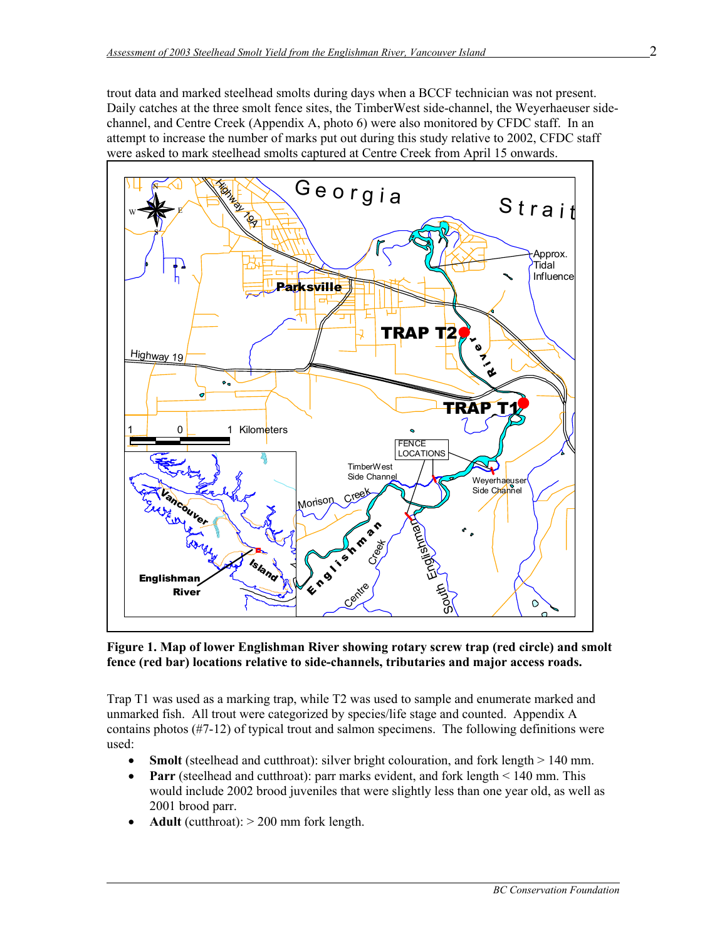trout data and marked steelhead smolts during days when a BCCF technician was not present. Daily catches at the three smolt fence sites, the TimberWest side-channel, the Weyerhaeuser sidechannel, and Centre Creek (Appendix A, photo 6) were also monitored by CFDC staff. In an attempt to increase the number of marks put out during this study relative to 2002, CFDC staff were asked to mark steelhead smolts captured at Centre Creek from April 15 onwards.



**Figure 1. Map of lower Englishman River showing rotary screw trap (red circle) and smolt fence (red bar) locations relative to side-channels, tributaries and major access roads.** 

Trap T1 was used as a marking trap, while T2 was used to sample and enumerate marked and unmarked fish. All trout were categorized by species/life stage and counted. Appendix A contains photos (#7-12) of typical trout and salmon specimens. The following definitions were used:

- **Smolt** (steelhead and cutthroat): silver bright colouration, and fork length  $> 140$  mm.
- **Parr** (steelhead and cutthroat): parr marks evident, and fork length < 140 mm. This would include 2002 brood juveniles that were slightly less than one year old, as well as 2001 brood parr.
- **Adult** (cutthroat):  $> 200$  mm fork length.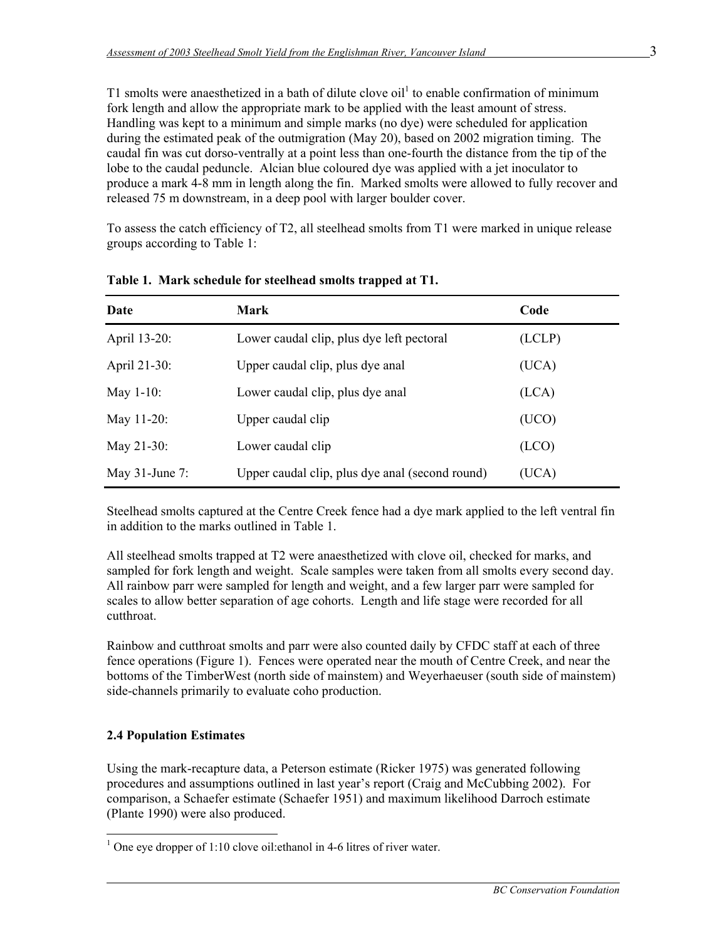T1 smolts were anaesthetized in a bath of dilute clove oil<sup>1</sup> to enable confirmation of minimum fork length and allow the appropriate mark to be applied with the least amount of stress. Handling was kept to a minimum and simple marks (no dye) were scheduled for application during the estimated peak of the outmigration (May 20), based on 2002 migration timing. The caudal fin was cut dorso-ventrally at a point less than one-fourth the distance from the tip of the lobe to the caudal peduncle. Alcian blue coloured dye was applied with a jet inoculator to produce a mark 4-8 mm in length along the fin. Marked smolts were allowed to fully recover and released 75 m downstream, in a deep pool with larger boulder cover.

To assess the catch efficiency of T2, all steelhead smolts from T1 were marked in unique release groups according to Table 1:

| Date              | Mark                                            | Code   |
|-------------------|-------------------------------------------------|--------|
| April 13-20:      | Lower caudal clip, plus dye left pectoral       | (LCLP) |
| April 21-30:      | Upper caudal clip, plus dye anal                | (UCA)  |
| May $1-10$ :      | Lower caudal clip, plus dye anal                | (LCA)  |
| May $11-20$ :     | Upper caudal clip                               | (UCO)  |
| May $21-30$ :     | Lower caudal clip                               | (LCD)  |
| May $31$ -June 7: | Upper caudal clip, plus dye anal (second round) | (UCA)  |

**Table 1. Mark schedule for steelhead smolts trapped at T1.** 

Steelhead smolts captured at the Centre Creek fence had a dye mark applied to the left ventral fin in addition to the marks outlined in Table 1.

All steelhead smolts trapped at T2 were anaesthetized with clove oil, checked for marks, and sampled for fork length and weight. Scale samples were taken from all smolts every second day. All rainbow parr were sampled for length and weight, and a few larger parr were sampled for scales to allow better separation of age cohorts. Length and life stage were recorded for all cutthroat.

Rainbow and cutthroat smolts and parr were also counted daily by CFDC staff at each of three fence operations (Figure 1). Fences were operated near the mouth of Centre Creek, and near the bottoms of the TimberWest (north side of mainstem) and Weyerhaeuser (south side of mainstem) side-channels primarily to evaluate coho production.

### **2.4 Population Estimates**

 $\overline{a}$ 

Using the mark-recapture data, a Peterson estimate (Ricker 1975) was generated following procedures and assumptions outlined in last year's report (Craig and McCubbing 2002). For comparison, a Schaefer estimate (Schaefer 1951) and maximum likelihood Darroch estimate (Plante 1990) were also produced.

<sup>&</sup>lt;sup>1</sup> One eye dropper of 1:10 clove oil: ethanol in 4-6 litres of river water.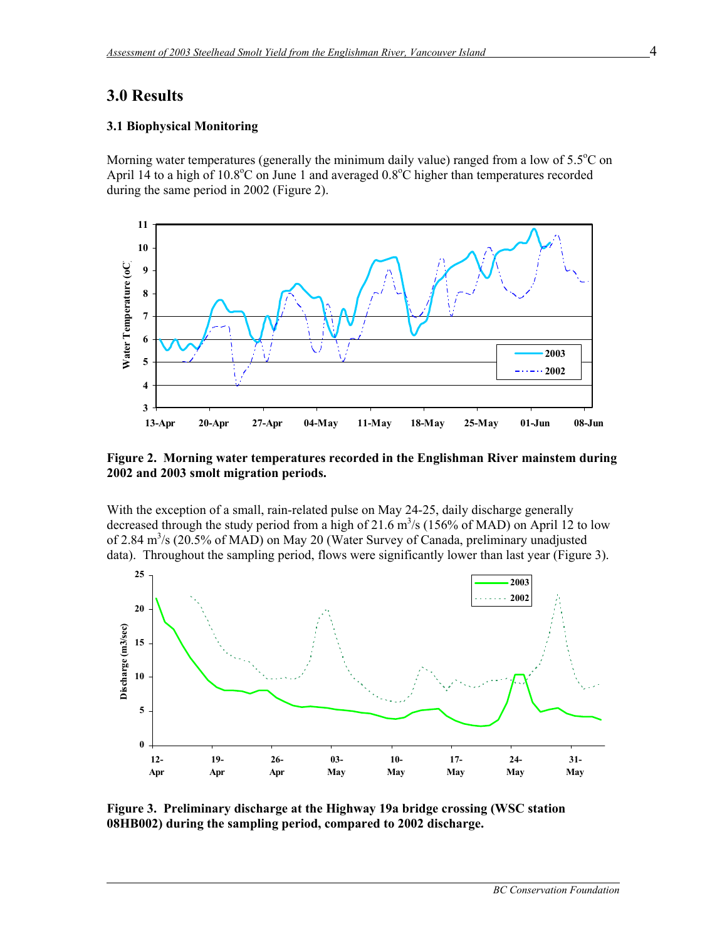### **3.0 Results**

 $\overline{a}$ 

#### **3.1 Biophysical Monitoring**

Morning water temperatures (generally the minimum daily value) ranged from a low of  $5.5^{\circ}$ C on April 14 to a high of 10.8°C on June 1 and averaged  $0.8$ °C higher than temperatures recorded during the same period in 2002 (Figure 2).



**Figure 2. Morning water temperatures recorded in the Englishman River mainstem during 2002 and 2003 smolt migration periods.** 

With the exception of a small, rain-related pulse on May 24-25, daily discharge generally decreased through the study period from a high of 21.6  $\text{m}^3\text{/s}$  (156% of MAD) on April 12 to low of 2.84 m<sup>3</sup>/s (20.5% of MAD) on May 20 (Water Survey of Canada, preliminary unadjusted data). Throughout the sampling period, flows were significantly lower than last year (Figure 3).



**Figure 3. Preliminary discharge at the Highway 19a bridge crossing (WSC station 08HB002) during the sampling period, compared to 2002 discharge.**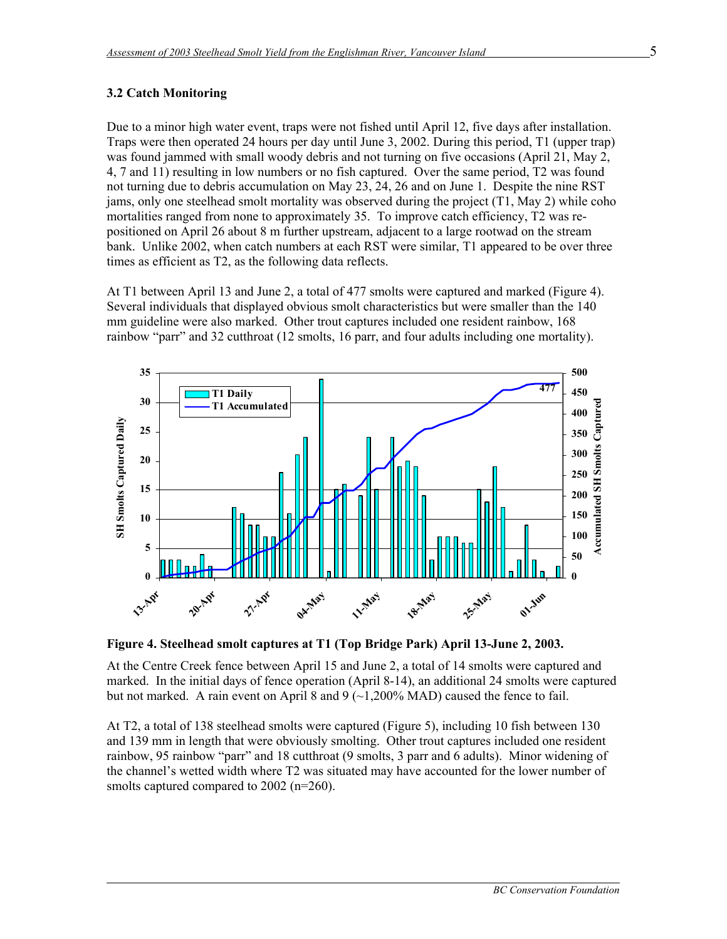### **3.2 Catch Monitoring**

 $\overline{a}$ 

Due to a minor high water event, traps were not fished until April 12, five days after installation. Traps were then operated 24 hours per day until June 3, 2002. During this period, T1 (upper trap) was found jammed with small woody debris and not turning on five occasions (April 21, May 2, 4, 7 and 11) resulting in low numbers or no fish captured. Over the same period, T2 was found not turning due to debris accumulation on May 23, 24, 26 and on June 1. Despite the nine RST jams, only one steelhead smolt mortality was observed during the project (T1, May 2) while coho mortalities ranged from none to approximately 35. To improve catch efficiency, T2 was repositioned on April 26 about 8 m further upstream, adjacent to a large rootwad on the stream bank. Unlike 2002, when catch numbers at each RST were similar, T1 appeared to be over three times as efficient as T2, as the following data reflects.

At T1 between April 13 and June 2, a total of 477 smolts were captured and marked (Figure 4). Several individuals that displayed obvious smolt characteristics but were smaller than the 140 mm guideline were also marked. Other trout captures included one resident rainbow, 168 rainbow "parr" and 32 cutthroat (12 smolts, 16 parr, and four adults including one mortality).



**Figure 4. Steelhead smolt captures at T1 (Top Bridge Park) April 13-June 2, 2003.** 

At the Centre Creek fence between April 15 and June 2, a total of 14 smolts were captured and marked. In the initial days of fence operation (April 8-14), an additional 24 smolts were captured but not marked. A rain event on April 8 and 9  $(\sim 1,200\% \text{ MAD})$  caused the fence to fail.

At T2, a total of 138 steelhead smolts were captured (Figure 5), including 10 fish between 130 and 139 mm in length that were obviously smolting. Other trout captures included one resident rainbow, 95 rainbow "parr" and 18 cutthroat (9 smolts, 3 parr and 6 adults). Minor widening of the channel's wetted width where T2 was situated may have accounted for the lower number of smolts captured compared to 2002 (n=260).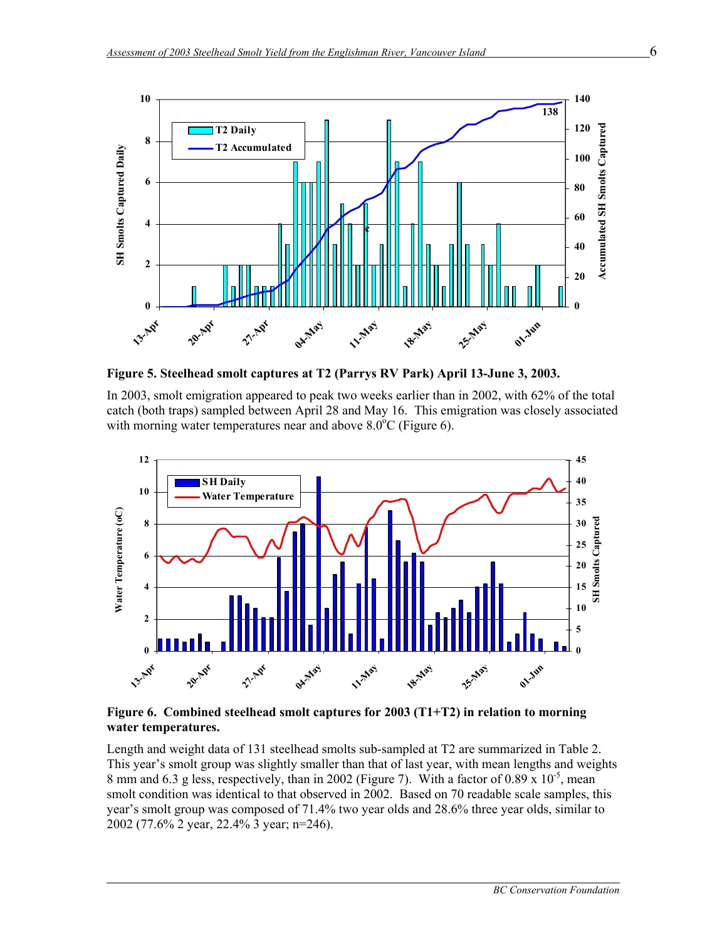

**Figure 5. Steelhead smolt captures at T2 (Parrys RV Park) April 13-June 3, 2003.** 

In 2003, smolt emigration appeared to peak two weeks earlier than in 2002, with 62% of the total catch (both traps) sampled between April 28 and May 16. This emigration was closely associated with morning water temperatures near and above  $8.0^{\circ}$ C (Figure 6).



**Figure 6. Combined steelhead smolt captures for 2003 (T1+T2) in relation to morning water temperatures.** 

 $\overline{a}$ 

Length and weight data of 131 steelhead smolts sub-sampled at T2 are summarized in Table 2. This year's smolt group was slightly smaller than that of last year, with mean lengths and weights 8 mm and 6.3 g less, respectively, than in 2002 (Figure 7). With a factor of 0.89 x  $10^{-5}$ , mean smolt condition was identical to that observed in 2002. Based on 70 readable scale samples, this year's smolt group was composed of 71.4% two year olds and 28.6% three year olds, similar to 2002 (77.6% 2 year, 22.4% 3 year; n=246).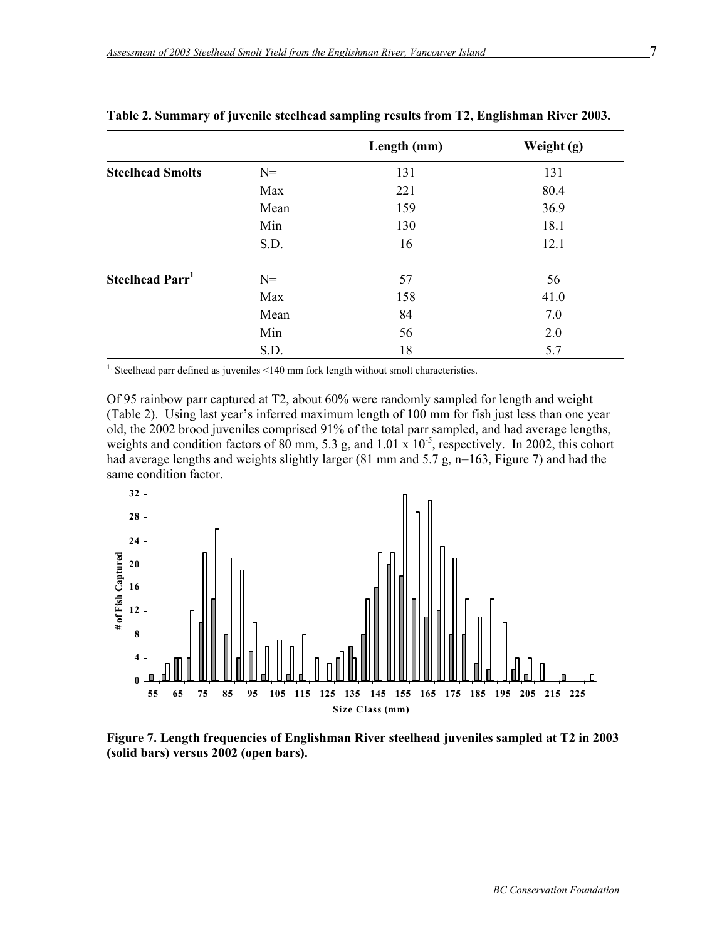|                             |       | Length (mm) | Weight (g) |
|-----------------------------|-------|-------------|------------|
| <b>Steelhead Smolts</b>     | $N=$  | 131         | 131        |
|                             | Max   | 221         | 80.4       |
|                             | Mean  | 159         | 36.9       |
|                             | Min   | 130         | 18.1       |
|                             | S.D.  | 16          | 12.1       |
| Steelhead Parr <sup>1</sup> | $N =$ | 57          | 56         |
|                             | Max   | 158         | 41.0       |
|                             | Mean  | 84          | 7.0        |
|                             | Min   | 56          | 2.0        |
|                             | S.D.  | 18          | 5.7        |

#### **Table 2. Summary of juvenile steelhead sampling results from T2, Englishman River 2003.**

<sup>1.</sup> Steelhead parr defined as juveniles <140 mm fork length without smolt characteristics.

Of 95 rainbow parr captured at T2, about 60% were randomly sampled for length and weight (Table 2). Using last year's inferred maximum length of 100 mm for fish just less than one year old, the 2002 brood juveniles comprised 91% of the total parr sampled, and had average lengths, weights and condition factors of 80 mm, 5.3 g, and 1.01 x 10<sup>-5</sup>, respectively. In 2002, this cohort had average lengths and weights slightly larger (81 mm and 5.7 g, n=163, Figure 7) and had the same condition factor.



**Figure 7. Length frequencies of Englishman River steelhead juveniles sampled at T2 in 2003 (solid bars) versus 2002 (open bars).**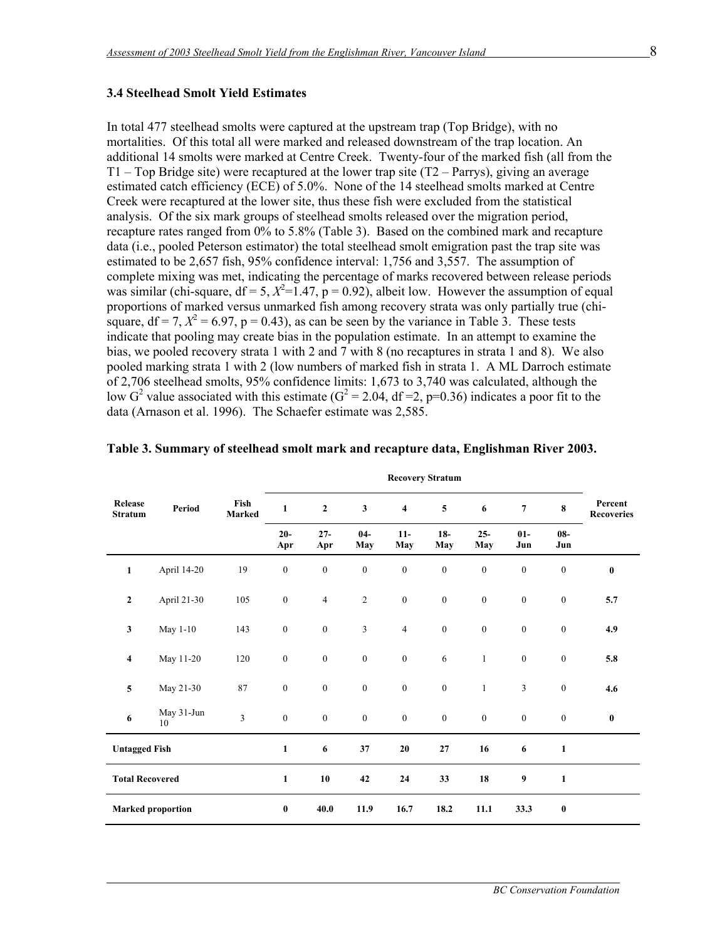#### **3.4 Steelhead Smolt Yield Estimates**

 $\overline{a}$ 

In total 477 steelhead smolts were captured at the upstream trap (Top Bridge), with no mortalities. Of this total all were marked and released downstream of the trap location. An additional 14 smolts were marked at Centre Creek. Twenty-four of the marked fish (all from the  $T1 - Top Bridge site)$  were recaptured at the lower trap site (T2 – Parrys), giving an average estimated catch efficiency (ECE) of 5.0%. None of the 14 steelhead smolts marked at Centre Creek were recaptured at the lower site, thus these fish were excluded from the statistical analysis. Of the six mark groups of steelhead smolts released over the migration period, recapture rates ranged from 0% to 5.8% (Table 3). Based on the combined mark and recapture data (i.e., pooled Peterson estimator) the total steelhead smolt emigration past the trap site was estimated to be 2,657 fish, 95% confidence interval: 1,756 and 3,557. The assumption of complete mixing was met, indicating the percentage of marks recovered between release periods was similar (chi-square,  $df = 5$ ,  $X^2 = 1.47$ ,  $p = 0.92$ ), albeit low. However the assumption of equal proportions of marked versus unmarked fish among recovery strata was only partially true (chisquare,  $df = 7$ ,  $X^2 = 6.97$ ,  $p = 0.43$ ), as can be seen by the variance in Table 3. These tests indicate that pooling may create bias in the population estimate. In an attempt to examine the bias, we pooled recovery strata 1 with 2 and 7 with 8 (no recaptures in strata 1 and 8). We also pooled marking strata 1 with 2 (low numbers of marked fish in strata 1. A ML Darroch estimate of 2,706 steelhead smolts, 95% confidence limits: 1,673 to 3,740 was calculated, although the low G<sup>2</sup> value associated with this estimate (G<sup>2</sup> = 2.04, df = 2, p=0.36) indicates a poor fit to the data (Arnason et al. 1996). The Schaefer estimate was 2,585.

| <b>Release</b><br><b>Stratum</b> | Period                   | Fish<br>Marked | $\mathbf{1}$     | $\overline{2}$   | $\mathbf{3}$     | $\overline{\mathbf{4}}$ | 5                | 6                | $\overline{7}$   | 8                | Percent<br><b>Recoveries</b> |
|----------------------------------|--------------------------|----------------|------------------|------------------|------------------|-------------------------|------------------|------------------|------------------|------------------|------------------------------|
|                                  |                          |                | $20-$<br>Apr     | $27 -$<br>Apr    | $04 -$<br>May    | $11-$<br>May            | $18-$<br>May     | $25 -$<br>May    | $01-$<br>Jun     | $08 -$<br>Jun    |                              |
| $\mathbf{1}$                     | April 14-20              | 19             | $\boldsymbol{0}$ | $\boldsymbol{0}$ | $\boldsymbol{0}$ | $\boldsymbol{0}$        | $\boldsymbol{0}$ | $\mathbf{0}$     | $\boldsymbol{0}$ | $\boldsymbol{0}$ | $\bf{0}$                     |
| $\mathbf{2}$                     | April 21-30              | 105            | $\boldsymbol{0}$ | $\sqrt{4}$       | $\sqrt{2}$       | $\boldsymbol{0}$        | $\boldsymbol{0}$ | $\boldsymbol{0}$ | $\boldsymbol{0}$ | $\mathbf{0}$     | 5.7                          |
| 3                                | May 1-10                 | 143            | $\boldsymbol{0}$ | $\boldsymbol{0}$ | 3                | $\overline{4}$          | $\boldsymbol{0}$ | $\boldsymbol{0}$ | $\boldsymbol{0}$ | $\mathbf{0}$     | 4.9                          |
| $\overline{\mathbf{4}}$          | May 11-20                | 120            | $\boldsymbol{0}$ | $\boldsymbol{0}$ | $\boldsymbol{0}$ | $\boldsymbol{0}$        | $\sqrt{6}$       | $\mathbf{1}$     | $\boldsymbol{0}$ | $\boldsymbol{0}$ | 5.8                          |
| 5                                | May 21-30                | $\bf 87$       | $\boldsymbol{0}$ | $\boldsymbol{0}$ | $\boldsymbol{0}$ | $\boldsymbol{0}$        | $\boldsymbol{0}$ | $\mathbf{1}$     | 3                | $\mathbf{0}$     | 4.6                          |
| 6                                | May 31-Jun<br>10         | $\overline{3}$ | $\boldsymbol{0}$ | $\boldsymbol{0}$ | $\boldsymbol{0}$ | $\boldsymbol{0}$        | $\mathbf{0}$     | $\boldsymbol{0}$ | $\boldsymbol{0}$ | $\boldsymbol{0}$ | $\bf{0}$                     |
| <b>Untagged Fish</b>             |                          |                | $\mathbf{1}$     | 6                | 37               | $20\,$                  | $\bf 27$         | 16               | $\boldsymbol{6}$ | $\mathbf{1}$     |                              |
| <b>Total Recovered</b>           |                          |                | $\mathbf{1}$     | 10               | 42               | 24                      | 33               | 18               | 9                | $\mathbf{1}$     |                              |
|                                  | <b>Marked proportion</b> |                | $\bf{0}$         | 40.0             | 11.9             | 16.7                    | 18.2             | 11.1             | 33.3             | $\bf{0}$         |                              |

#### **Table 3. Summary of steelhead smolt mark and recapture data, Englishman River 2003.**

**Recovery Stratum**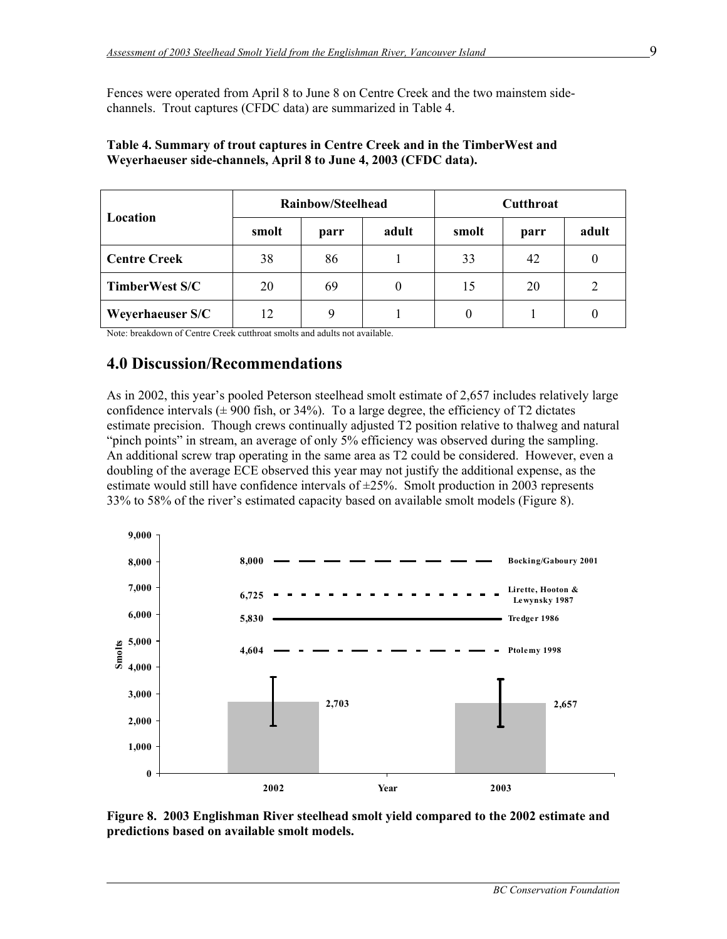Fences were operated from April 8 to June 8 on Centre Creek and the two mainstem sidechannels. Trout captures (CFDC data) are summarized in Table 4.

| Location                |       | Rainbow/Steelhead |          | <b>Cutthroat</b> |      |       |  |
|-------------------------|-------|-------------------|----------|------------------|------|-------|--|
|                         | smolt | parr              | adult    | smolt            | parr | adult |  |
| <b>Centre Creek</b>     | 38    | 86                |          | 33               | 42   |       |  |
| <b>TimberWest S/C</b>   | 20    | 69                | $\theta$ | 15               | 20   | 2     |  |
| <b>Weyerhaeuser S/C</b> | 12    | 9                 |          | 0                |      |       |  |

#### **Table 4. Summary of trout captures in Centre Creek and in the TimberWest and Weyerhaeuser side-channels, April 8 to June 4, 2003 (CFDC data).**

Note: breakdown of Centre Creek cutthroat smolts and adults not available.

### **4.0 Discussion/Recommendations**

 $\overline{a}$ 

As in 2002, this year's pooled Peterson steelhead smolt estimate of 2,657 includes relatively large confidence intervals  $(\pm 900 \text{ fish}, \text{or } 34\%)$ . To a large degree, the efficiency of T2 dictates estimate precision. Though crews continually adjusted T2 position relative to thalweg and natural "pinch points" in stream, an average of only 5% efficiency was observed during the sampling. An additional screw trap operating in the same area as T2 could be considered. However, even a doubling of the average ECE observed this year may not justify the additional expense, as the estimate would still have confidence intervals of  $\pm 25\%$ . Smolt production in 2003 represents 33% to 58% of the river's estimated capacity based on available smolt models (Figure 8).



**Figure 8. 2003 Englishman River steelhead smolt yield compared to the 2002 estimate and predictions based on available smolt models.**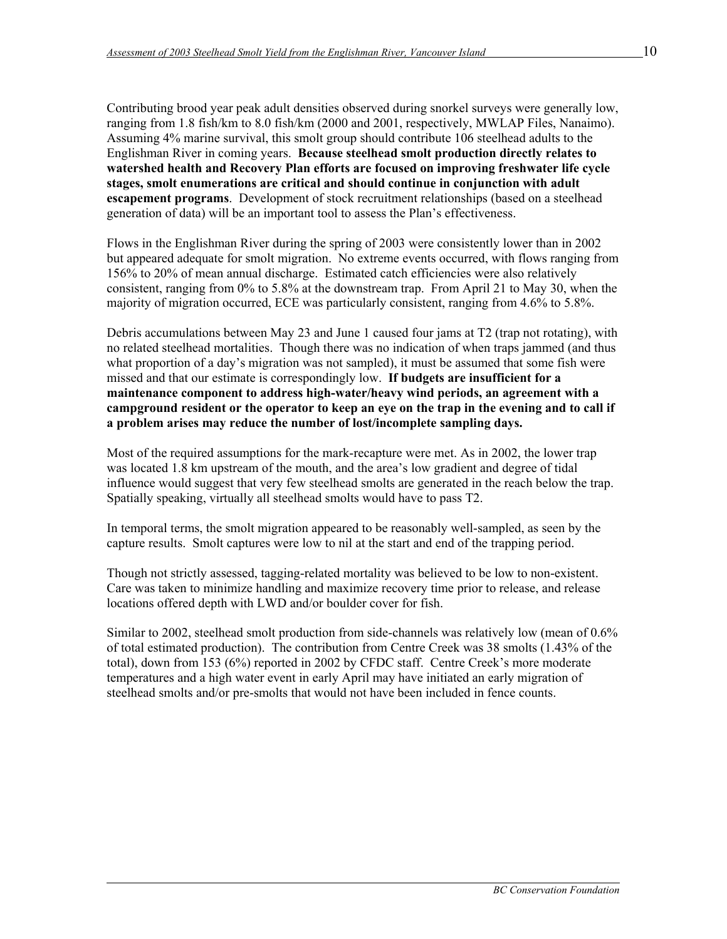Contributing brood year peak adult densities observed during snorkel surveys were generally low, ranging from 1.8 fish/km to 8.0 fish/km (2000 and 2001, respectively, MWLAP Files, Nanaimo). Assuming 4% marine survival, this smolt group should contribute 106 steelhead adults to the Englishman River in coming years. **Because steelhead smolt production directly relates to watershed health and Recovery Plan efforts are focused on improving freshwater life cycle stages, smolt enumerations are critical and should continue in conjunction with adult escapement programs**. Development of stock recruitment relationships (based on a steelhead generation of data) will be an important tool to assess the Plan's effectiveness.

Flows in the Englishman River during the spring of 2003 were consistently lower than in 2002 but appeared adequate for smolt migration. No extreme events occurred, with flows ranging from 156% to 20% of mean annual discharge. Estimated catch efficiencies were also relatively consistent, ranging from 0% to 5.8% at the downstream trap. From April 21 to May 30, when the majority of migration occurred, ECE was particularly consistent, ranging from 4.6% to 5.8%.

Debris accumulations between May 23 and June 1 caused four jams at T2 (trap not rotating), with no related steelhead mortalities. Though there was no indication of when traps jammed (and thus what proportion of a day's migration was not sampled), it must be assumed that some fish were missed and that our estimate is correspondingly low. **If budgets are insufficient for a maintenance component to address high-water/heavy wind periods, an agreement with a campground resident or the operator to keep an eye on the trap in the evening and to call if a problem arises may reduce the number of lost/incomplete sampling days.** 

Most of the required assumptions for the mark-recapture were met. As in 2002, the lower trap was located 1.8 km upstream of the mouth, and the area's low gradient and degree of tidal influence would suggest that very few steelhead smolts are generated in the reach below the trap. Spatially speaking, virtually all steelhead smolts would have to pass T2.

In temporal terms, the smolt migration appeared to be reasonably well-sampled, as seen by the capture results. Smolt captures were low to nil at the start and end of the trapping period.

Though not strictly assessed, tagging-related mortality was believed to be low to non-existent. Care was taken to minimize handling and maximize recovery time prior to release, and release locations offered depth with LWD and/or boulder cover for fish.

Similar to 2002, steelhead smolt production from side-channels was relatively low (mean of 0.6% of total estimated production). The contribution from Centre Creek was 38 smolts (1.43% of the total), down from 153 (6%) reported in 2002 by CFDC staff. Centre Creek's more moderate temperatures and a high water event in early April may have initiated an early migration of steelhead smolts and/or pre-smolts that would not have been included in fence counts.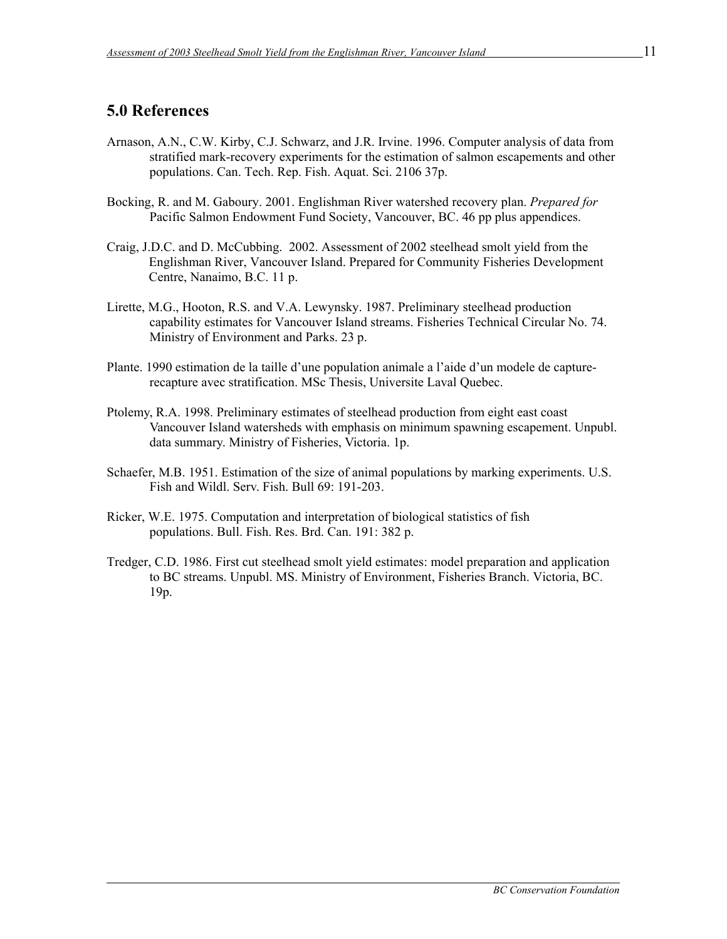# **5.0 References**

- Arnason, A.N., C.W. Kirby, C.J. Schwarz, and J.R. Irvine. 1996. Computer analysis of data from stratified mark-recovery experiments for the estimation of salmon escapements and other populations. Can. Tech. Rep. Fish. Aquat. Sci. 2106 37p.
- Bocking, R. and M. Gaboury. 2001. Englishman River watershed recovery plan. *Prepared for*  Pacific Salmon Endowment Fund Society, Vancouver, BC. 46 pp plus appendices.
- Craig, J.D.C. and D. McCubbing. 2002. Assessment of 2002 steelhead smolt yield from the Englishman River, Vancouver Island. Prepared for Community Fisheries Development Centre, Nanaimo, B.C. 11 p.
- Lirette, M.G., Hooton, R.S. and V.A. Lewynsky. 1987. Preliminary steelhead production capability estimates for Vancouver Island streams. Fisheries Technical Circular No. 74. Ministry of Environment and Parks. 23 p.
- Plante. 1990 estimation de la taille d'une population animale a l'aide d'un modele de capturerecapture avec stratification. MSc Thesis, Universite Laval Quebec.
- Ptolemy, R.A. 1998. Preliminary estimates of steelhead production from eight east coast Vancouver Island watersheds with emphasis on minimum spawning escapement. Unpubl. data summary. Ministry of Fisheries, Victoria. 1p.
- Schaefer, M.B. 1951. Estimation of the size of animal populations by marking experiments. U.S. Fish and Wildl. Serv. Fish. Bull 69: 191-203.
- Ricker, W.E. 1975. Computation and interpretation of biological statistics of fish populations. Bull. Fish. Res. Brd. Can. 191: 382 p.
- Tredger, C.D. 1986. First cut steelhead smolt yield estimates: model preparation and application to BC streams. Unpubl. MS. Ministry of Environment, Fisheries Branch. Victoria, BC. 19p.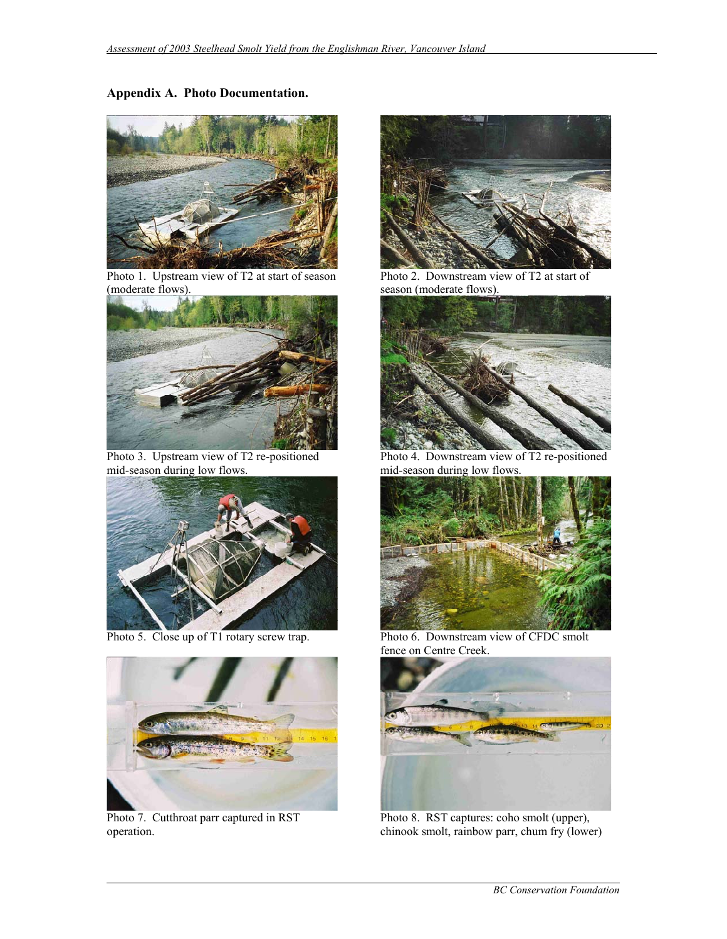#### **Appendix A. Photo Documentation.**



Photo 1. Upstream view of T2 at start of season (moderate flows).



Photo 3. Upstream view of T2 re-positioned mid-season during low flows.





Photo 7. Cutthroat parr captured in RST operation.



 Photo 2. Downstream view of T2 at start of season (moderate flows).



 Photo 4. Downstream view of T2 re-positioned mid-season during low flows.



Photo 5. Close up of T1 rotary screw trap. Photo 6. Downstream view of CFDC smolt fence on Centre Creek.



 Photo 8. RST captures: coho smolt (upper), chinook smolt, rainbow parr, chum fry (lower)